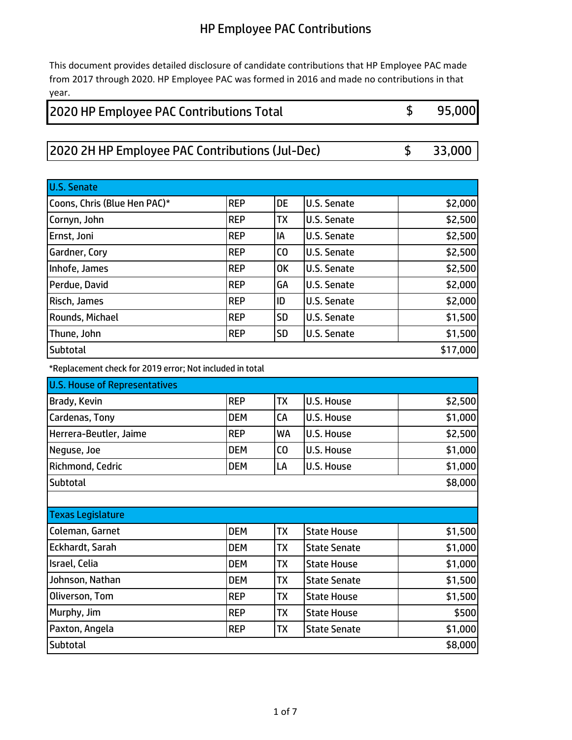This document provides detailed disclosure of candidate contributions that HP Employee PAC made from 2017 through 2020. HP Employee PAC was formed in 2016 and made no contributions in that year.

### \$ 95,000 2020 HP Employee PAC Contributions Total

### 2020 2H HP Employee PAC Contributions (Jul-Dec) \$ 33,000

| <b>U.S. Senate</b>           |             |                |                    |          |
|------------------------------|-------------|----------------|--------------------|----------|
| Coons, Chris (Blue Hen PAC)* | <b>REP</b>  | <b>DE</b>      | <b>U.S. Senate</b> | \$2,000  |
| Cornyn, John                 | <b>REP</b>  | <b>TX</b>      | <b>U.S. Senate</b> | \$2,500  |
| Ernst, Joni                  | <b>IREP</b> | IA             | U.S. Senate        | \$2,500  |
| Gardner, Cory                | <b>REP</b>  | C <sub>0</sub> | <b>U.S. Senate</b> | \$2,500  |
| Inhofe, James                | <b>REP</b>  | <b>OK</b>      | <b>U.S. Senate</b> | \$2,500  |
| Perdue, David                | <b>REP</b>  | GA             | <b>U.S. Senate</b> | \$2,000  |
| Risch, James                 | <b>REP</b>  | ID             | <b>U.S. Senate</b> | \$2,000  |
| Rounds, Michael              | <b>REP</b>  | <b>SD</b>      | <b>U.S. Senate</b> | \$1,500  |
| Thune, John                  | <b>REP</b>  | <b>SD</b>      | <b>U.S. Senate</b> | \$1,500  |
| <b>Subtotal</b>              |             |                |                    | \$17,000 |

\*Replacement check for 2019 error; Not included in total

| <b>U.S. House of Representatives</b> |            |           |                   |                          |
|--------------------------------------|------------|-----------|-------------------|--------------------------|
| Brady, Kevin                         | <b>REP</b> | <b>TX</b> | <b>U.S. House</b> | \$2,500                  |
| Cardenas, Tony                       | <b>DEM</b> | <b>CA</b> | <b>U.S. House</b> | \$1,000                  |
| Herrera-Beutler, Jaime               | <b>REP</b> | <b>WA</b> | <b>U.S. House</b> | \$2,500                  |
| Neguse, Joe                          | <b>DEM</b> | ICO       | <b>U.S. House</b> | \$1,000                  |
| Richmond, Cedric                     | <b>DEM</b> | LА        | <b>U.S. House</b> | \$1,000                  |
| <b>Subtotal</b>                      |            |           |                   | \$8,000                  |
|                                      |            |           |                   |                          |
| <b>Texas Legislature</b>             |            |           |                   |                          |
| Coloman Garnot                       | <b>DEM</b> | lтv       | State House       | <b>C<sub>1</sub> ENN</b> |

| Coleman, Garnet | <b>DEM</b> | <b>TX</b> | <b>State House</b>  | \$1,500 |
|-----------------|------------|-----------|---------------------|---------|
| Eckhardt, Sarah | <b>DEM</b> | <b>TX</b> | <b>State Senate</b> | \$1,000 |
| Israel, Celia   | <b>DEM</b> | TX        | <b>State House</b>  | \$1,000 |
| Johnson, Nathan | <b>DEM</b> | TX        | <b>State Senate</b> | \$1,500 |
| Oliverson, Tom  | <b>REP</b> | TX        | <b>State House</b>  | \$1,500 |
| Murphy, Jim     | <b>REP</b> | TX        | <b>State House</b>  | \$500   |
| Paxton, Angela  | <b>REP</b> | TX        | <b>State Senate</b> | \$1,000 |
| <b>Subtotal</b> |            |           |                     | \$8,000 |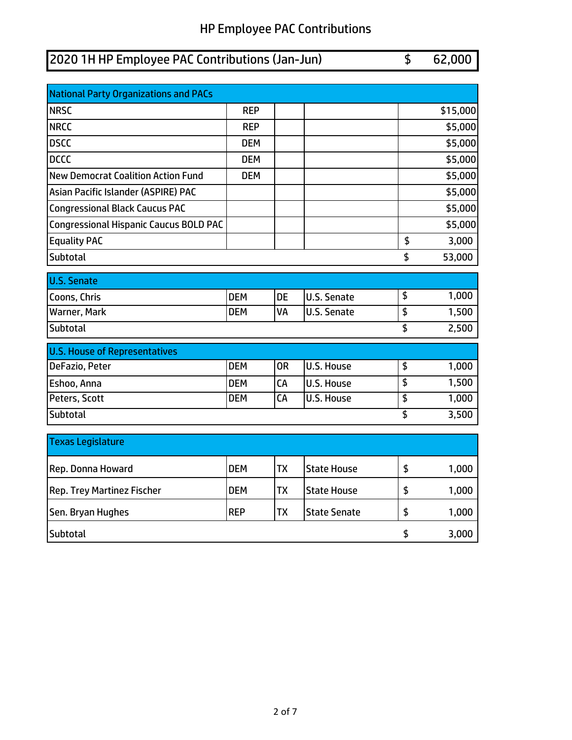# 2020 1H HP Employee PAC Contributions (Jan-Jun) \$ 62,000 National Party Organizations and PACs NRSC REP \$15,000 NRCC REP \$5,000 DSCC DEM \$5,000 DCCC DEM \$5,000 New Democrat Coalition Action Fund | DEM | | | | | | | \$5,000 Asian Pacific Islander (ASPIRE) PAC \$5.000 Congressional Black Caucus PAC \$5,000 Congressional Hispanic Caucus BOLD PAC \$5,000 Equality PAC \$ 3,000 Subtotal \$ 53,000 U.S. Senate Coons, Chris **Coons, Chris Coons, Chris Coons, Chris Coons, Chris Coons, Chris Coons, Chris Coons, Chris Coons, Chris Coons, Chris Coons, Chris Coons, Chris Coons, Chris Coons, Chris Coons, Chris** Warner, Mark **National Company of Company Company** DEM VA U.S. Senate 5 1,500 Subtotal \$ 2,500 U.S. House of Representatives DeFazio, Peter **DEM** OR U.S. House \$ 1,000 Eshoo, Anna **DEM** CA U.S. House \$ 1,500 Peters, Scott **DEM** CA U.S. House \$ 1,000 Subtotal \$ 3,500 Texas Legislature Rep. Donna Howard **National COM** TX State House 5 1,000 Rep. Trey Martinez Fischer | DEM | TX | State House | \$ 1,000

Sen. Bryan Hughes **REP** TX State Senate 5 1,000

Subtotal \$ 3,000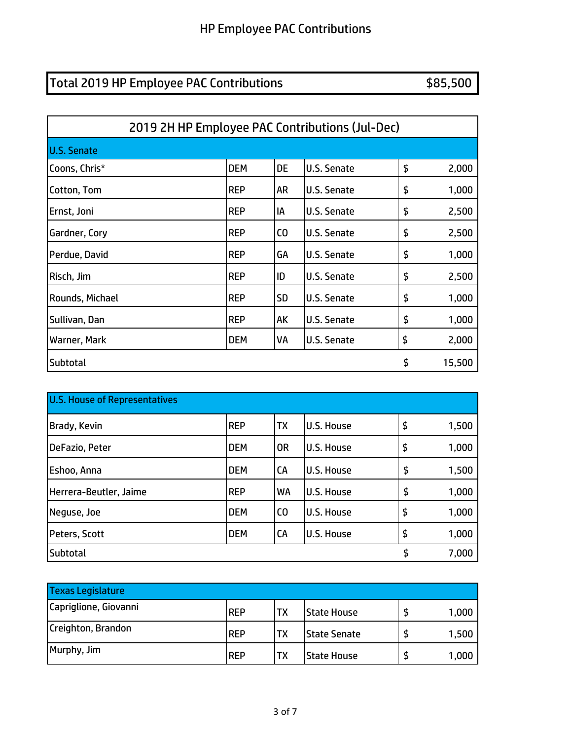# Total 2019 HP Employee PAC Contributions **\$85,500**

| 2019 2H HP Employee PAC Contributions (Jul-Dec) |            |                |                    |    |        |  |
|-------------------------------------------------|------------|----------------|--------------------|----|--------|--|
| <b>U.S. Senate</b>                              |            |                |                    |    |        |  |
| Coons, Chris*                                   | <b>DEM</b> | <b>DE</b>      | U.S. Senate        | \$ | 2,000  |  |
| Cotton, Tom                                     | <b>REP</b> | AR             | U.S. Senate        | \$ | 1,000  |  |
| Ernst, Joni                                     | <b>REP</b> | IA             | U.S. Senate        | \$ | 2,500  |  |
| Gardner, Cory                                   | <b>REP</b> | C <sub>O</sub> | <b>U.S. Senate</b> | \$ | 2,500  |  |
| Perdue, David                                   | <b>REP</b> | GA             | U.S. Senate        | \$ | 1,000  |  |
| Risch, Jim                                      | <b>REP</b> | ID             | U.S. Senate        | \$ | 2,500  |  |
| Rounds, Michael                                 | <b>REP</b> | <b>SD</b>      | U.S. Senate        | \$ | 1,000  |  |
| Sullivan, Dan                                   | <b>REP</b> | AK             | U.S. Senate        | \$ | 1,000  |  |
| Warner, Mark                                    | <b>DEM</b> | VA             | U.S. Senate        | \$ | 2,000  |  |
| Subtotal                                        |            |                |                    | \$ | 15,500 |  |

| <b>U.S. House of Representatives</b> |            |                |                   |    |       |  |
|--------------------------------------|------------|----------------|-------------------|----|-------|--|
| Brady, Kevin                         | <b>REP</b> | <b>TX</b>      | U.S. House        | \$ | 1,500 |  |
| DeFazio, Peter                       | <b>DEM</b> | <b>OR</b>      | U.S. House        | \$ | 1,000 |  |
| Eshoo, Anna                          | <b>DEM</b> | CA             | U.S. House        | \$ | 1,500 |  |
| Herrera-Beutler, Jaime               | <b>REP</b> | WA             | U.S. House        | \$ | 1,000 |  |
| Neguse, Joe                          | <b>DEM</b> | C <sub>0</sub> | U.S. House        | \$ | 1,000 |  |
| Peters, Scott                        | <b>DEM</b> | CA             | <b>U.S. House</b> | \$ | 1,000 |  |
| <b>Subtotal</b>                      |            |                |                   | \$ | 7,000 |  |

| <b>Texas Legislature</b> |            |           |                     |       |
|--------------------------|------------|-----------|---------------------|-------|
| Capriglione, Giovanni    | <b>REP</b> | <b>TX</b> | <b>State House</b>  | 1,000 |
| Creighton, Brandon       | <b>REP</b> | TX        | <b>State Senate</b> | 1,500 |
| Murphy, Jim              | <b>REP</b> | <b>TX</b> | <b>State House</b>  | 1,000 |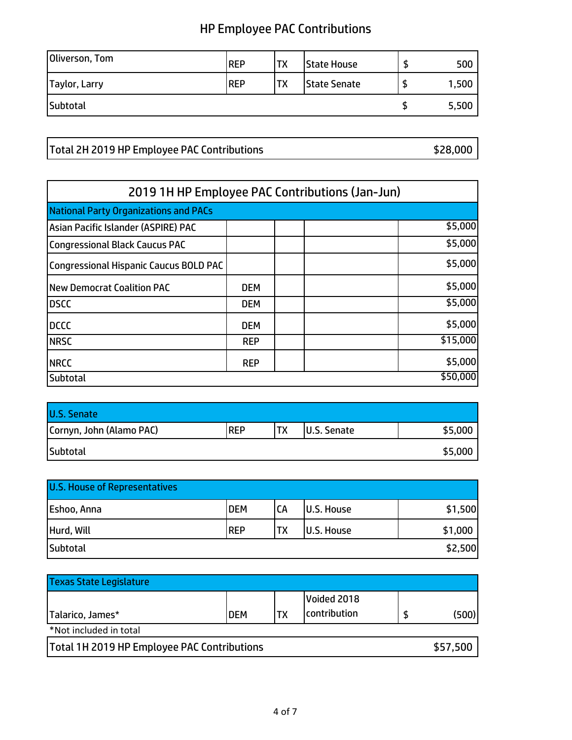| Oliverson, Tom | <b>IREP</b> | TX        | <b>State House</b> |   | 500   |
|----------------|-------------|-----------|--------------------|---|-------|
| Taylor, Larry  | <b>REP</b>  | <b>TX</b> | State Senate       | đ | 1,500 |
| Subtotal       |             |           |                    |   | 5,500 |

Total 2H 2019 HP Employee PAC Contributions **\$28,000** \$28,000

| 2019 1H HP Employee PAC Contributions (Jan-Jun) |            |  |  |          |  |
|-------------------------------------------------|------------|--|--|----------|--|
| <b>National Party Organizations and PACs</b>    |            |  |  |          |  |
| Asian Pacific Islander (ASPIRE) PAC             |            |  |  | \$5,000  |  |
| <b>Congressional Black Caucus PAC</b>           |            |  |  | \$5,000  |  |
| <b>Congressional Hispanic Caucus BOLD PAC</b>   |            |  |  | \$5,000  |  |
| <b>New Democrat Coalition PAC</b>               | <b>DEM</b> |  |  | \$5,000  |  |
| <b>DSCC</b>                                     | <b>DEM</b> |  |  | \$5,000  |  |
| <b>DCCC</b>                                     | <b>DEM</b> |  |  | \$5,000  |  |
| <b>NRSC</b>                                     | <b>REP</b> |  |  | \$15,000 |  |
| <b>NRCC</b>                                     | <b>REP</b> |  |  | \$5,000  |  |
| <b>Subtotal</b>                                 |            |  |  | \$50,000 |  |

| <b>U.S. Senate</b>       |             |     |             |         |
|--------------------------|-------------|-----|-------------|---------|
| Cornyn, John (Alamo PAC) | <b>IREP</b> | 'TX | U.S. Senate | \$5,000 |
| Subtotal                 |             |     |             | \$5,000 |

| <b>U.S. House of Representatives</b> |            |           |                   |         |
|--------------------------------------|------------|-----------|-------------------|---------|
| Eshoo, Anna                          | <b>DEM</b> | <b>CA</b> | <b>U.S. House</b> | \$1,500 |
| Hurd, Will                           | <b>REP</b> | TX        | <b>U.S. House</b> | \$1,000 |
| Subtotal                             |            |           |                   | \$2,500 |

| <b>Texas State Legislature</b>                     |            |    |                             |          |
|----------------------------------------------------|------------|----|-----------------------------|----------|
| Talarico, James*                                   | <b>DEM</b> | ТX | Voided 2018<br>contribution | (500)    |
| *Not included in total                             |            |    |                             |          |
| <b>Total 1H 2019 HP Employee PAC Contributions</b> |            |    |                             | \$57,500 |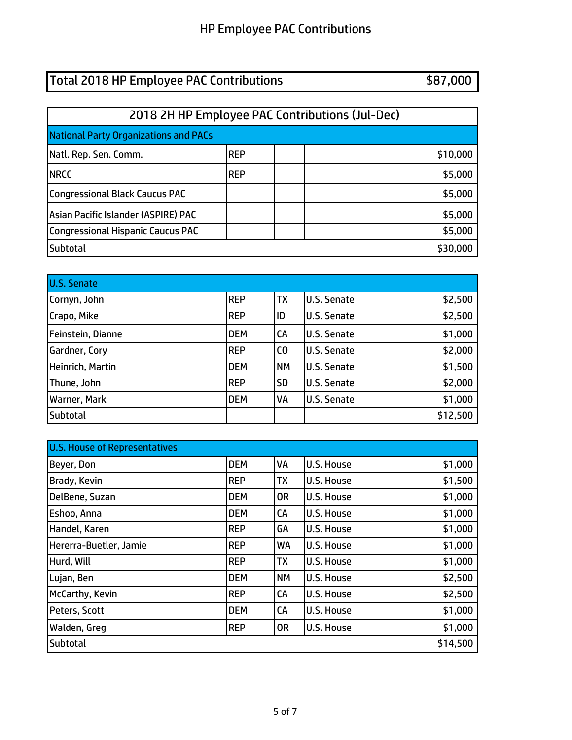# Total 2018 HP Employee PAC Contributions **\$87,000**

| 2018 2H HP Employee PAC Contributions (Jul-Dec) |            |  |  |          |  |  |
|-------------------------------------------------|------------|--|--|----------|--|--|
| <b>National Party Organizations and PACs</b>    |            |  |  |          |  |  |
| Natl. Rep. Sen. Comm.                           | <b>REP</b> |  |  | \$10,000 |  |  |
| <b>NRCC</b>                                     | <b>REP</b> |  |  | \$5,000  |  |  |
| <b>Congressional Black Caucus PAC</b>           |            |  |  | \$5,000  |  |  |
| Asian Pacific Islander (ASPIRE) PAC             |            |  |  | \$5,000  |  |  |
| <b>Congressional Hispanic Caucus PAC</b>        |            |  |  | \$5,000  |  |  |
| <b>Subtotal</b>                                 |            |  |  | \$30,000 |  |  |

| U.S. Senate       |            |                |                    |          |
|-------------------|------------|----------------|--------------------|----------|
| Cornyn, John      | <b>REP</b> | <b>TX</b>      | <b>U.S. Senate</b> | \$2,500  |
| Crapo, Mike       | <b>REP</b> | ID             | U.S. Senate        | \$2,500  |
| Feinstein, Dianne | <b>DEM</b> | <b>CA</b>      | U.S. Senate        | \$1,000  |
| Gardner, Cory     | <b>REP</b> | C <sub>0</sub> | U.S. Senate        | \$2,000  |
| Heinrich, Martin  | <b>DEM</b> | <b>NM</b>      | <b>U.S. Senate</b> | \$1,500  |
| Thune, John       | <b>REP</b> | <b>SD</b>      | U.S. Senate        | \$2,000  |
| Warner, Mark      | <b>DEM</b> | VA             | <b>U.S. Senate</b> | \$1,000  |
| Subtotal          |            |                |                    | \$12,500 |

| <b>U.S. House of Representatives</b> |            |           |                   |          |
|--------------------------------------|------------|-----------|-------------------|----------|
| Beyer, Don                           | <b>DEM</b> | VA        | <b>U.S. House</b> | \$1,000  |
| Brady, Kevin                         | <b>REP</b> | <b>TX</b> | <b>U.S. House</b> | \$1,500  |
| DelBene, Suzan                       | <b>DEM</b> | 0R        | U.S. House        | \$1,000  |
| Eshoo, Anna                          | <b>DEM</b> | CA        | U.S. House        | \$1,000  |
| Handel, Karen                        | <b>REP</b> | GA        | <b>U.S. House</b> | \$1,000  |
| Hererra-Buetler, Jamie               | <b>REP</b> | WA        | <b>U.S. House</b> | \$1,000  |
| Hurd, Will                           | <b>REP</b> | <b>TX</b> | <b>U.S. House</b> | \$1,000  |
| Lujan, Ben                           | <b>DEM</b> | <b>NM</b> | <b>U.S. House</b> | \$2,500  |
| McCarthy, Kevin                      | <b>REP</b> | CA        | <b>U.S. House</b> | \$2,500  |
| Peters, Scott                        | <b>DEM</b> | CA        | <b>U.S. House</b> | \$1,000  |
| Walden, Greg                         | <b>REP</b> | <b>OR</b> | <b>U.S. House</b> | \$1,000  |
| Subtotal                             |            |           |                   | \$14,500 |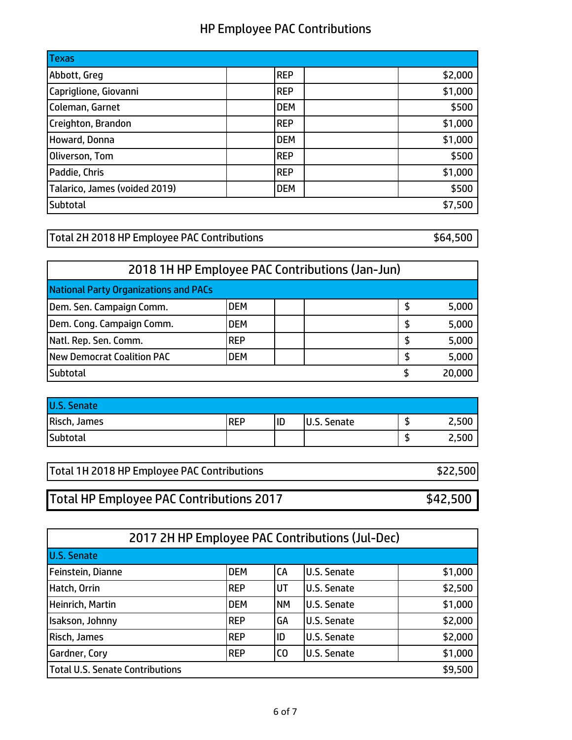| <b>Texas</b>                  |            |         |
|-------------------------------|------------|---------|
| Abbott, Greg                  | <b>REP</b> | \$2,000 |
| Capriglione, Giovanni         | <b>REP</b> | \$1,000 |
| Coleman, Garnet               | <b>DEM</b> | \$500   |
| Creighton, Brandon            | <b>REP</b> | \$1,000 |
| Howard, Donna                 | <b>DEM</b> | \$1,000 |
| Oliverson, Tom                | <b>REP</b> | \$500   |
| Paddie, Chris                 | <b>REP</b> | \$1,000 |
| Talarico, James (voided 2019) | <b>DEM</b> | \$500   |
| Subtotal                      |            | \$7,500 |

Total 2H 2018 HP Employee PAC Contributions  $$64,500$ 

|                                              |            | 2018 1H HP Employee PAC Contributions (Jan-Jun) |    |        |
|----------------------------------------------|------------|-------------------------------------------------|----|--------|
| <b>National Party Organizations and PACs</b> |            |                                                 |    |        |
| Dem. Sen. Campaign Comm.                     | <b>DEM</b> |                                                 | \$ | 5,000  |
| Dem. Cong. Campaign Comm.                    | <b>DEM</b> |                                                 | S  | 5,000  |
| Natl. Rep. Sen. Comm.                        | <b>REP</b> |                                                 | S  | 5,000  |
| New Democrat Coalition PAC                   | <b>DEM</b> |                                                 | S  | 5,000  |
| Subtotal                                     |            |                                                 |    | 20,000 |

| <b>U.S. Senate</b> |            |    |             |       |
|--------------------|------------|----|-------------|-------|
| Risch, James       | <b>REP</b> | ID | U.S. Senate | 2,500 |
| <b>Subtotal</b>    |            |    |             | 2,500 |

| Total 1H 2018 HP Employee PAC Contributions | \$22,500 |
|---------------------------------------------|----------|
|                                             |          |

Total HP Employee PAC Contributions 2017 **\$42,500** 

|                                        |            |           | 2017 2H HP Employee PAC Contributions (Jul-Dec) |         |
|----------------------------------------|------------|-----------|-------------------------------------------------|---------|
| <b>U.S. Senate</b>                     |            |           |                                                 |         |
| Feinstein, Dianne                      | <b>DEM</b> | <b>CA</b> | <b>U.S. Senate</b>                              | \$1,000 |
| Hatch, Orrin                           | <b>REP</b> | lut       | <b>U.S. Senate</b>                              | \$2,500 |
| Heinrich, Martin                       | <b>DEM</b> | <b>NM</b> | <b>U.S. Senate</b>                              | \$1,000 |
| Isakson, Johnny                        | <b>REP</b> | GA        | <b>U.S. Senate</b>                              | \$2,000 |
| Risch, James                           | <b>REP</b> | ID        | <b>U.S. Senate</b>                              | \$2,000 |
| Gardner, Cory                          | <b>REP</b> | ICO       | <b>U.S. Senate</b>                              | \$1,000 |
| <b>Total U.S. Senate Contributions</b> |            |           |                                                 | \$9,500 |